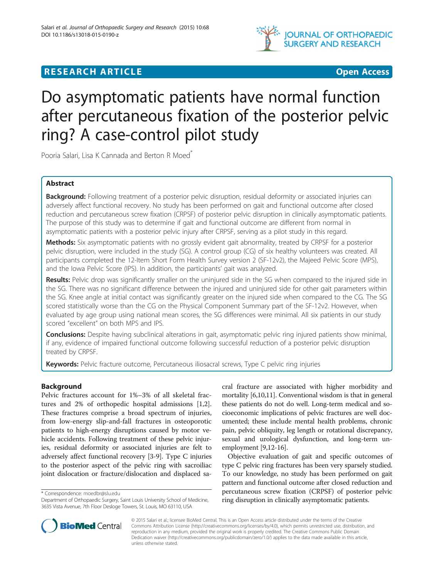

# **RESEARCH ARTICLE Example Access CONTROLLER EXAMPLE AND LOCAL CONTROLLER EXAMPLE AND LOCAL CONTROLLER EXAMPLE A**

# Do asymptomatic patients have normal function after percutaneous fixation of the posterior pelvic ring? A case-control pilot study

Pooria Salari, Lisa K Cannada and Berton R Moed<sup>\*</sup>

# Abstract

Background: Following treatment of a posterior pelvic disruption, residual deformity or associated injuries can adversely affect functional recovery. No study has been performed on gait and functional outcome after closed reduction and percutaneous screw fixation (CRPSF) of posterior pelvic disruption in clinically asymptomatic patients. The purpose of this study was to determine if gait and functional outcome are different from normal in asymptomatic patients with a posterior pelvic injury after CRPSF, serving as a pilot study in this regard.

Methods: Six asymptomatic patients with no grossly evident gait abnormality, treated by CRPSF for a posterior pelvic disruption, were included in the study (SG). A control group (CG) of six healthy volunteers was created. All participants completed the 12-Item Short Form Health Survey version 2 (SF-12v2), the Majeed Pelvic Score (MPS), and the Iowa Pelvic Score (IPS). In addition, the participants' gait was analyzed.

Results: Pelvic drop was significantly smaller on the uninjured side in the SG when compared to the injured side in the SG. There was no significant difference between the injured and uninjured side for other gait parameters within the SG. Knee angle at initial contact was significantly greater on the injured side when compared to the CG. The SG scored statistically worse than the CG on the Physical Component Summary part of the SF-12v2. However, when evaluated by age group using national mean scores, the SG differences were minimal. All six patients in our study scored "excellent" on both MPS and IPS.

Conclusions: Despite having subclinical alterations in gait, asymptomatic pelvic ring injured patients show minimal, if any, evidence of impaired functional outcome following successful reduction of a posterior pelvic disruption treated by CRPSF.

Keywords: Pelvic fracture outcome, Percutaneous iliosacral screws, Type C pelvic ring injuries

# Background

Pelvic fractures account for 1%–3% of all skeletal fractures and 2% of orthopedic hospital admissions [\[1,2](#page-4-0)]. These fractures comprise a broad spectrum of injuries, from low-energy slip-and-fall fractures in osteoporotic patients to high-energy disruptions caused by motor vehicle accidents. Following treatment of these pelvic injuries, residual deformity or associated injuries are felt to adversely affect functional recovery [[3-9\]](#page-4-0). Type C injuries to the posterior aspect of the pelvic ring with sacroiliac joint dislocation or fracture/dislocation and displaced sa-

\* Correspondence: [moedbr@slu.edu](mailto:moedbr@slu.edu)

cral fracture are associated with higher morbidity and mortality [[6](#page-4-0),[10,11\]](#page-4-0). Conventional wisdom is that in general these patients do not do well. Long-term medical and socioeconomic implications of pelvic fractures are well documented; these include mental health problems, chronic pain, pelvic obliquity, leg length or rotational discrepancy, sexual and urological dysfunction, and long-term unemployment [\[9,12](#page-4-0)[-16](#page-5-0)].

Objective evaluation of gait and specific outcomes of type C pelvic ring fractures has been very sparsely studied. To our knowledge, no study has been performed on gait pattern and functional outcome after closed reduction and percutaneous screw fixation (CRPSF) of posterior pelvic ring disruption in clinically asymptomatic patients.



© 2015 Salari et al.; licensee BioMed Central. This is an Open Access article distributed under the terms of the Creative Commons Attribution License [\(http://creativecommons.org/licenses/by/4.0\)](http://creativecommons.org/licenses/by/4.0), which permits unrestricted use, distribution, and reproduction in any medium, provided the original work is properly credited. The Creative Commons Public Domain Dedication waiver [\(http://creativecommons.org/publicdomain/zero/1.0/](http://creativecommons.org/publicdomain/zero/1.0/)) applies to the data made available in this article, unless otherwise stated.

Department of Orthopaedic Surgery, Saint Louis University School of Medicine, 3635 Vista Avenue, 7th Floor Desloge Towers, St. Louis, MO 63110, USA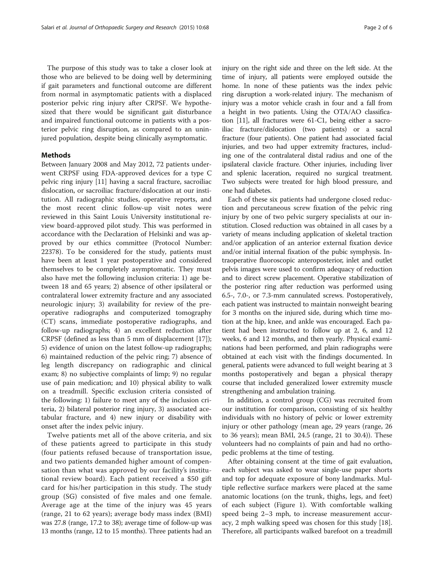The purpose of this study was to take a closer look at those who are believed to be doing well by determining if gait parameters and functional outcome are different from normal in asymptomatic patients with a displaced posterior pelvic ring injury after CRPSF. We hypothesized that there would be significant gait disturbance and impaired functional outcome in patients with a posterior pelvic ring disruption, as compared to an uninjured population, despite being clinically asymptomatic.

### Methods

Between January 2008 and May 2012, 72 patients underwent CRPSF using FDA-approved devices for a type C pelvic ring injury [[11\]](#page-4-0) having a sacral fracture, sacroiliac dislocation, or sacroiliac fracture/dislocation at our institution. All radiographic studies, operative reports, and the most recent clinic follow-up visit notes were reviewed in this Saint Louis University institutional review board-approved pilot study. This was performed in accordance with the Declaration of Helsinki and was approved by our ethics committee (Protocol Number: 22378). To be considered for the study, patients must have been at least 1 year postoperative and considered themselves to be completely asymptomatic. They must also have met the following inclusion criteria: 1) age between 18 and 65 years; 2) absence of other ipsilateral or contralateral lower extremity fracture and any associated neurologic injury; 3) availability for review of the preoperative radiographs and computerized tomography (CT) scans, immediate postoperative radiographs, and follow-up radiographs; 4) an excellent reduction after CRPSF (defined as less than 5 mm of displacement [\[17](#page-5-0)]); 5) evidence of union on the latest follow-up radiographs; 6) maintained reduction of the pelvic ring; 7) absence of leg length discrepancy on radiographic and clinical exam; 8) no subjective complaints of limp; 9) no regular use of pain medication; and 10) physical ability to walk on a treadmill. Specific exclusion criteria consisted of the following: 1) failure to meet any of the inclusion criteria, 2) bilateral posterior ring injury, 3) associated acetabular fracture, and 4) new injury or disability with onset after the index pelvic injury.

Twelve patients met all of the above criteria, and six of these patients agreed to participate in this study (four patients refused because of transportation issue, and two patients demanded higher amount of compensation than what was approved by our facility's institutional review board). Each patient received a \$50 gift card for his/her participation in this study. The study group (SG) consisted of five males and one female. Average age at the time of the injury was 45 years (range, 21 to 62 years); average body mass index (BMI) was 27.8 (range, 17.2 to 38); average time of follow-up was 13 months (range, 12 to 15 months). Three patients had an injury on the right side and three on the left side. At the time of injury, all patients were employed outside the home. In none of these patients was the index pelvic ring disruption a work-related injury. The mechanism of injury was a motor vehicle crash in four and a fall from a height in two patients. Using the OTA/AO classification [[11](#page-4-0)], all fractures were 61-C1, being either a sacroiliac fracture/dislocation (two patients) or a sacral fracture (four patients). One patient had associated facial injuries, and two had upper extremity fractures, including one of the contralateral distal radius and one of the ipsilateral clavicle fracture. Other injuries, including liver and splenic laceration, required no surgical treatment. Two subjects were treated for high blood pressure, and one had diabetes.

Each of these six patients had undergone closed reduction and percutaneous screw fixation of the pelvic ring injury by one of two pelvic surgery specialists at our institution. Closed reduction was obtained in all cases by a variety of means including application of skeletal traction and/or application of an anterior external fixation device and/or initial internal fixation of the pubic symphysis. Intraoperative fluoroscopic anteroposterior, inlet and outlet pelvis images were used to confirm adequacy of reduction and to direct screw placement. Operative stabilization of the posterior ring after reduction was performed using 6.5-, 7.0-, or 7.3-mm cannulated screws. Postoperatively, each patient was instructed to maintain nonweight bearing for 3 months on the injured side, during which time motion at the hip, knee, and ankle was encouraged. Each patient had been instructed to follow up at 2, 6, and 12 weeks, 6 and 12 months, and then yearly. Physical examinations had been performed, and plain radiographs were obtained at each visit with the findings documented. In general, patients were advanced to full weight bearing at 3 months postoperatively and began a physical therapy course that included generalized lower extremity muscle strengthening and ambulation training.

In addition, a control group (CG) was recruited from our institution for comparison, consisting of six healthy individuals with no history of pelvic or lower extremity injury or other pathology (mean age, 29 years (range, 26 to 36 years); mean BMI, 24.5 (range, 21 to 30.4)). These volunteers had no complaints of pain and had no orthopedic problems at the time of testing.

After obtaining consent at the time of gait evaluation, each subject was asked to wear single-use paper shorts and top for adequate exposure of bony landmarks. Multiple reflective surface markers were placed at the same anatomic locations (on the trunk, thighs, legs, and feet) of each subject (Figure [1\)](#page-2-0). With comfortable walking speed being 2–3 mph, to increase measurement accuracy, 2 mph walking speed was chosen for this study [\[18](#page-5-0)]. Therefore, all participants walked barefoot on a treadmill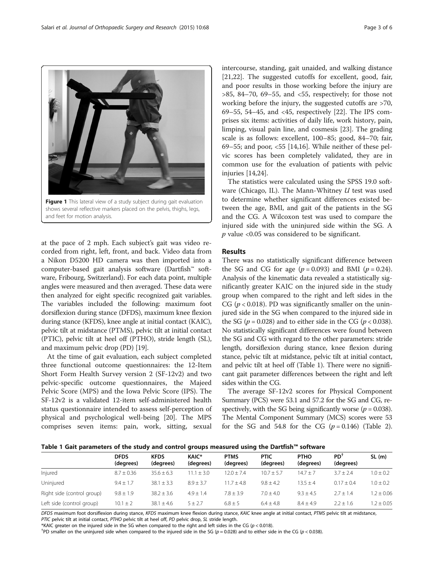at the pace of 2 mph. Each subject's gait was video recorded from right, left, front, and back. Video data from a Nikon D5200 HD camera was then imported into a computer-based gait analysis software (Dartfish™ software, Fribourg, Switzerland). For each data point, multiple angles were measured and then averaged. These data were then analyzed for eight specific recognized gait variables. The variables included the following: maximum foot dorsiflexion during stance (DFDS), maximum knee flexion during stance (KFDS), knee angle at initial contact (KAIC), pelvic tilt at midstance (PTMS), pelvic tilt at initial contact (PTIC), pelvic tilt at heel off (PTHO), stride length (SL), and maximum pelvic drop (PD) [\[19\]](#page-5-0).

Figure 1 This lateral view of a study subject during gait evaluation shows several reflective markers placed on the pelvis, thighs, legs,

and feet for motion analysis.

At the time of gait evaluation, each subject completed three functional outcome questionnaires: the 12-Item Short Form Health Survey version 2 (SF-12v2) and two pelvic-specific outcome questionnaires, the Majeed Pelvic Score (MPS) and the Iowa Pelvic Score (IPS). The SF-12v2 is a validated 12-item self-administered health status questionnaire intended to assess self-perception of physical and psychological well-being [[20\]](#page-5-0). The MPS comprises seven items: pain, work, sitting, sexual

intercourse, standing, gait unaided, and walking distance [[21,22\]](#page-5-0). The suggested cutoffs for excellent, good, fair, and poor results in those working before the injury are  $>85$ , 84–70, 69–55, and <55, respectively; for those not working before the injury, the suggested cutoffs are >70, 69–55, 54–45, and <45, respectively [\[22](#page-5-0)]. The IPS comprises six items: activities of daily life, work history, pain, limping, visual pain line, and cosmesis [[23\]](#page-5-0). The grading scale is as follows: excellent, 100–85; good, 84–70; fair, 69–55; and poor, <55 [\[14](#page-4-0)[,16](#page-5-0)]. While neither of these pelvic scores has been completely validated, they are in common use for the evaluation of patients with pelvic injuries [\[14,](#page-4-0)[24\]](#page-5-0).

The statistics were calculated using the SPSS 19.0 software (Chicago, IL). The Mann-Whitney  $U$  test was used to determine whether significant differences existed between the age, BMI, and gait of the patients in the SG and the CG. A Wilcoxon test was used to compare the injured side with the uninjured side within the SG. A  $p$  value <0.05 was considered to be significant.

# **Results**

There was no statistically significant difference between the SG and CG for age  $(p = 0.093)$  and BMI  $(p = 0.24)$ . Analysis of the kinematic data revealed a statistically significantly greater KAIC on the injured side in the study group when compared to the right and left sides in the CG ( $p < 0.018$ ). PD was significantly smaller on the uninjured side in the SG when compared to the injured side in the SG ( $p = 0.028$ ) and to either side in the CG ( $p < 0.038$ ). No statistically significant differences were found between the SG and CG with regard to the other parameters: stride length, dorsiflexion during stance, knee flexion during stance, pelvic tilt at midstance, pelvic tilt at initial contact, and pelvic tilt at heel off (Table 1). There were no significant gait parameter differences between the right and left sides within the CG.

The average SF-12v2 scores for Physical Component Summary (PCS) were 53.1 and 57.2 for the SG and CG, respectively, with the SG being significantly worse  $(p = 0.038)$ . The Mental Component Summary (MCS) scores were 53 for the SG and 54.8 for the CG  $(p=0.146)$  (Table [2](#page-3-0)).



|                            | <b>DFDS</b><br>(degrees) | <b>KFDS</b><br>(degrees) | KAIC*<br>(degrees) | <b>PTMS</b><br>(degrees) | <b>PTIC</b><br>(degrees) | <b>PTHO</b><br>(degrees) | PD <sup>1</sup><br>(degrees) | SL(m)          |
|----------------------------|--------------------------|--------------------------|--------------------|--------------------------|--------------------------|--------------------------|------------------------------|----------------|
| Injured                    | $8.7 \pm 0.36$           | $35.6 + 6.3$             | $+30$<br>11        | $12.0 + 7.4$             | $10.7 + 5.7$             | $14.7 + 7$               | $3.7 + 2.4$                  | $1.0 \pm 0.2$  |
| Uninjured                  | $9.4 + 1.7$              | $38.1 + 3.3$             | $8.9 + 3.7$        | $11.7 + 4.8$             | $9.8 + 4.2$              | $135 + 4$                | $0.17 + 0.4$                 | $1.0 \pm 0.2$  |
| Right side (control group) | $9.8 \pm 1.9$            | $38.2 \pm 3.6$           | $4.9 + 1.4$        | $7.8 + 3.9$              | $7.0 + 4.0$              | $9.3 + 4.5$              | $2.7 + 1.4$                  | $1.2 \pm 0.06$ |
| Left side (control group)  | $10.1 \pm 2$             | $38.1 \pm 4.6$           | $5 + 2.7$          | $6.8 + 5$                | $6.4 + 4.8$              | $8.4 + 4.9$              | $2.2 + 1.6$                  | $2 + 0.05$     |

DFDS maximum foot dorsiflexion during stance, KFDS maximum knee flexion during stance, KAIC knee angle at initial contact, PTMS pelvic tilt at midstance, PTIC pelvic tilt at initial contact, PTHO pelvic tilt at heel off, PD pelvic drop, SL stride length.

\*KAIC greater on the injured side in the SG when compared to the right and left sides in the CG ( $p < 0.018$ ).

<sup>†</sup>PD smaller on the uninjured side when compared to the injured side in the SG ( $p = 0.028$ ) and to either side in the CG ( $p < 0.038$ ).

<span id="page-2-0"></span>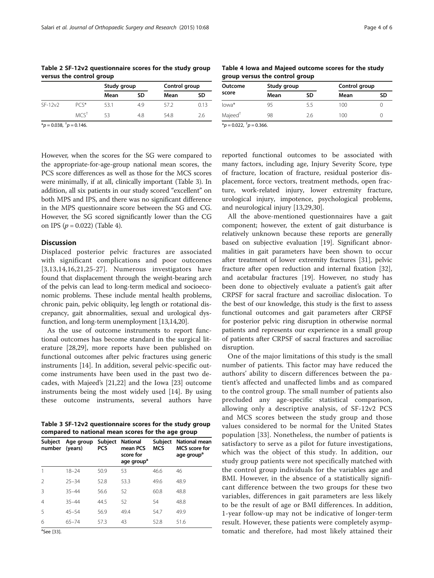| $1 - 1 - 2 - 3 - 1 - 5 - 5 - 7 - 8 - 8 - 8 - 1 - 5 - 1 - 5 - 1 - 5 - 1 - 5 - 1 - 5 - 1 - 5 - 1 - 5 - 1 - 5 - 1 - 5 - 1 - 5 - 1 - 5 - 1 - 5 - 1 - 5 - 1 - 5 - 1 - 5 - 1 - 5 - 1 - 5 - 1 - 5 - 1 - 5 - 1 - 5 - 1 - 5 - 1 - 5 - 1 - 5 - 1 - 5 - 1 - 5 - 1 - 5 - 1 - 5 - 1 - 5 - 1 - 5 - 1 - 5 - 1 - 5 - 1$ |                  |             |     |               |      |  |  |  |
|---------------------------------------------------------------------------------------------------------------------------------------------------------------------------------------------------------------------------------------------------------------------------------------------------------|------------------|-------------|-----|---------------|------|--|--|--|
|                                                                                                                                                                                                                                                                                                         |                  | Study group |     | Control group |      |  |  |  |
|                                                                                                                                                                                                                                                                                                         |                  | Mean        | SD  | Mean          | SD   |  |  |  |
| $SF-12v2$                                                                                                                                                                                                                                                                                               | $PC*$            | 53.1        | 4.9 | 57.2          | 0.13 |  |  |  |
|                                                                                                                                                                                                                                                                                                         | MCS <sup>†</sup> | 53          | 48  | 54.8          | 2.6  |  |  |  |

<span id="page-3-0"></span>Table 2 SF-12v2 questionnaire scores for the study group versus the control group

Table 4 Iowa and Majeed outcome scores for the study group versus the control group

| Outcome<br>score    | Study group |     | Control group |    |
|---------------------|-------------|-----|---------------|----|
|                     | Mean        | SD  | Mean          | SD |
| lowa*               | 95          | 5.5 | 100           |    |
| Majeed <sup>†</sup> | 98          | 26  | 100           |    |

 $*_{p}$  = 0.038,  $\dagger_{p}$  = 0.146.

 $*_{p}$  = 0.022,  $^{\dagger}$  p = 0.366.

However, when the scores for the SG were compared to the appropriate-for-age-group national mean scores, the PCS score differences as well as those for the MCS scores were minimally, if at all, clinically important (Table 3). In addition, all six patients in our study scored "excellent" on both MPS and IPS, and there was no significant difference in the MPS questionnaire score between the SG and CG. However, the SG scored significantly lower than the CG on IPS  $(p = 0.022)$  (Table 4).

# **Discussion**

Displaced posterior pelvic fractures are associated with significant complications and poor outcomes [[3,13,14](#page-4-0),[16,21](#page-5-0),[25-27\]](#page-5-0). Numerous investigators have found that displacement through the weight-bearing arch of the pelvis can lead to long-term medical and socioeconomic problems. These include mental health problems, chronic pain, pelvic obliquity, leg length or rotational discrepancy, gait abnormalities, sexual and urological dysfunction, and long-term unemployment [\[13,14](#page-4-0)[,20](#page-5-0)].

As the use of outcome instruments to report functional outcomes has become standard in the surgical literature [\[28,29\]](#page-5-0), more reports have been published on functional outcomes after pelvic fractures using generic instruments [\[14](#page-4-0)]. In addition, several pelvic-specific outcome instruments have been used in the past two decades, with Majeed's [\[21,22\]](#page-5-0) and the Iowa [\[23](#page-5-0)] outcome instruments being the most widely used [[14\]](#page-4-0). By using these outcome instruments, several authors have

Table 3 SF-12v2 questionnaire scores for the study group compared to national mean scores for the age group

| Subject<br>number | Age group Subject<br>(years) | <b>PCS</b> | National<br>mean PCS<br>score for<br>age group <sup>a</sup> | Subject<br>MCS | National mean<br>MCS score for<br>age group <sup>a</sup> |
|-------------------|------------------------------|------------|-------------------------------------------------------------|----------------|----------------------------------------------------------|
|                   | $18 - 24$                    | 50.9       | 53                                                          | 46.6           | 46                                                       |
| $\mathcal{P}$     | $25 - 34$                    | 52.8       | 53.3                                                        | 49.6           | 48.9                                                     |
| 3                 | $35 - 44$                    | 56.6       | 52                                                          | 60.8           | 48.8                                                     |
| $\overline{4}$    | $35 - 44$                    | 44.5       | 52                                                          | 54             | 48.8                                                     |
| 5                 | $45 - 54$                    | 56.9       | 49.4                                                        | 54.7           | 49.9                                                     |
| 6                 | $65 - 74$                    | 57.3       | 43                                                          | 52.8           | 51.6                                                     |

reported functional outcomes to be associated with many factors, including age, Injury Severity Score, type of fracture, location of fracture, residual posterior displacement, force vectors, treatment methods, open fracture, work-related injury, lower extremity fracture, urological injury, impotence, psychological problems, and neurological injury [[13,](#page-4-0)[29,30\]](#page-5-0).

All the above-mentioned questionnaires have a gait component; however, the extent of gait disturbance is relatively unknown because these reports are generally based on subjective evaluation [\[19](#page-5-0)]. Significant abnormalities in gait parameters have been shown to occur after treatment of lower extremity fractures [[31\]](#page-5-0), pelvic fracture after open reduction and internal fixation [\[32](#page-5-0)], and acetabular fractures [\[19\]](#page-5-0). However, no study has been done to objectively evaluate a patient's gait after CRPSF for sacral fracture and sacroiliac dislocation. To the best of our knowledge, this study is the first to assess functional outcomes and gait parameters after CRPSF for posterior pelvic ring disruption in otherwise normal patients and represents our experience in a small group of patients after CRPSF of sacral fractures and sacroiliac disruption.

One of the major limitations of this study is the small number of patients. This factor may have reduced the authors' ability to discern differences between the patient's affected and unaffected limbs and as compared to the control group. The small number of patients also precluded any age-specific statistical comparison, allowing only a descriptive analysis, of SF-12v2 PCS and MCS scores between the study group and those values considered to be normal for the United States population [[33\]](#page-5-0). Nonetheless, the number of patients is satisfactory to serve as a pilot for future investigations, which was the object of this study. In addition, our study group patients were not specifically matched with the control group individuals for the variables age and BMI. However, in the absence of a statistically significant difference between the two groups for these two variables, differences in gait parameters are less likely to be the result of age or BMI differences. In addition, 1-year follow-up may not be indicative of longer-term result. However, these patients were completely asymptomatic and therefore, had most likely attained their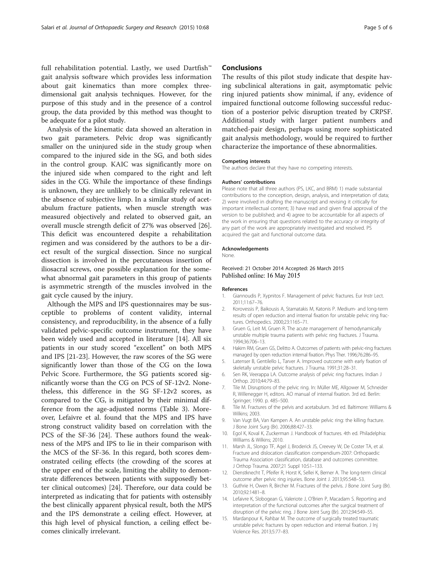<span id="page-4-0"></span>full rehabilitation potential. Lastly, we used Dartfish™ gait analysis software which provides less information about gait kinematics than more complex threedimensional gait analysis techniques. However, for the purpose of this study and in the presence of a control group, the data provided by this method was thought to be adequate for a pilot study.

Analysis of the kinematic data showed an alteration in two gait parameters. Pelvic drop was significantly smaller on the uninjured side in the study group when compared to the injured side in the SG, and both sides in the control group. KAIC was significantly more on the injured side when compared to the right and left sides in the CG. While the importance of these findings is unknown, they are unlikely to be clinically relevant in the absence of subjective limp. In a similar study of acetabulum fracture patients, when muscle strength was measured objectively and related to observed gait, an overall muscle strength deficit of 27% was observed [\[26](#page-5-0)]. This deficit was encountered despite a rehabilitation regimen and was considered by the authors to be a direct result of the surgical dissection. Since no surgical dissection is involved in the percutaneous insertion of iliosacral screws, one possible explanation for the somewhat abnormal gait parameters in this group of patients is asymmetric strength of the muscles involved in the gait cycle caused by the injury.

Although the MPS and IPS questionnaires may be susceptible to problems of content validity, internal consistency, and reproducibility, in the absence of a fully validated pelvic-specific outcome instrument, they have been widely used and accepted in literature [14]. All six patients in our study scored "excellent" on both MPS and IPS [[21-23\]](#page-5-0). However, the raw scores of the SG were significantly lower than those of the CG on the Iowa Pelvic Score. Furthermore, the SG patients scored significantly worse than the CG on PCS of SF-12v2. Nonetheless, this difference in the SG SF-12v2 scores, as compared to the CG, is mitigated by their minimal difference from the age-adjusted norms (Table [3\)](#page-3-0). Moreover, Lefaivre et al. found that the MPS and IPS have strong construct validity based on correlation with the PCS of the SF-36 [\[24](#page-5-0)]. These authors found the weakness of the MPS and IPS to lie in their comparison with the MCS of the SF-36. In this regard, both scores demonstrated ceiling effects (the crowding of the scores at the upper end of the scale, limiting the ability to demonstrate differences between patients with supposedly better clinical outcomes) [[24\]](#page-5-0). Therefore, our data could be interpreted as indicating that for patients with ostensibly the best clinically apparent physical result, both the MPS and the IPS demonstrate a ceiling effect. However, at this high level of physical function, a ceiling effect becomes clinically irrelevant.

#### Conclusions

The results of this pilot study indicate that despite having subclinical alterations in gait, asymptomatic pelvic ring injured patients show minimal, if any, evidence of impaired functional outcome following successful reduction of a posterior pelvic disruption treated by CRPSF. Additional study with larger patient numbers and matched-pair design, perhaps using more sophisticated gait analysis methodology, would be required to further characterize the importance of these abnormalities.

#### Competing interests

The authors declare that they have no competing interests.

#### Authors' contributions

Please note that all three authors (PS, LKC, and BRM) 1) made substantial contributions to the conception, design, analysis, and interpretation of data; 2) were involved in drafting the manuscript and revising it critically for important intellectual content; 3) have read and given final approval of the version to be published; and 4) agree to be accountable for all aspects of the work in ensuring that questions related to the accuracy or integrity of any part of the work are appropriately investigated and resolved. PS acquired the gait and functional outcome data.

#### Acknowledgements

None.

#### Received: 21 October 2014 Accepted: 26 March 2015 Published online: 16 May 2015

#### References

- 1. Giannoudis P, Xypnitos F. Management of pelvic fractures. Eur Instr Lect. 2011;11:67–76.
- 2. Korovessis P, Baikousis A, Stamatakis M, Katonis P. Medium- and long-term results of open reduction and internal fixation for unstable pelvic ring fractures. Orthopedics. 2000;23:1165–71.
- 3. Gruen G, Leit M, Gruen R. The acute management of hemodynamically unstable multiple trauma patients with pelvic ring fractures. J Trauma. 1994;36:706–13.
- 4. Hakim RM, Gruen GS, Delitto A. Outcomes of patients with pelvic-ring fractures managed by open reduction internal fixation. Phys Ther. 1996;76:286–95.
- 5. Latenser B, Gentilello L, Tarver A. Improved outcome with early fixation of skeletally unstable pelvic fractures. J Trauma. 1991;31:28–31.
- 6. Sen RK, Veerappa LA. Outcome analysis of pelvic ring fractures. Indian J Orthop. 2010;44:79–83.
- 7. Tile M. Disruptions of the pelvic ring. In: Müller ME, Allgower M, Schneider R, Willenegger H, editors. AO manual of internal fixation. 3rd ed. Berlin: Springer; 1990. p. 485–500.
- 8. Tile M. Fractures of the pelvis and acetabulum. 3rd ed. Baltimore: Williams & Wilkins; 2003.
- 9. Van Vugt BA, Van Kampen A. An unstable pelvic ring: the killing fracture. J Bone Joint Surg (Br). 2006;88:427–33.
- 10. Egol K, Koval K, Zuckerman J. Handbook of fractures. 4th ed. Philadelphia: Williams & Wilkins; 2010.
- 11. Marsh JL, Slongo TF, Agel J, Broderick JS, Creevey W, De Coster TA, et al. Fracture and dislocation classification compendium-2007: Orthopaedic Trauma Association classification, database and outcomes committee. J Orthop Trauma. 2007;21 Suppl 10:S1–133.
- 12. Dienstknecht T, Pfeifer R, Horst K, Sellei K, Berner A. The long-term clinical outcome after pelvic ring injuries. Bone Joint J. 2013;95:548–53.
- 13. Guthrie H, Owen R, Bircher M. Fractures of the pelvis. J Bone Joint Surg (Br). 2010;92:1481–8.
- 14. Lefaivre K, Slobogean G, Valeriote J, O'Brien P, Macadam S. Reporting and interpretation of the functional outcomes after the surgical treatment of disruption of the pelvic ring. J Bone Joint Surg (Br). 2012;94:549–55.
- 15. Mardanpour K, Rahbar M. The outcome of surgically treated traumatic unstable pelvic fractures by open reduction and internal fixation. J Inj Violence Res. 2013;5:77–83.